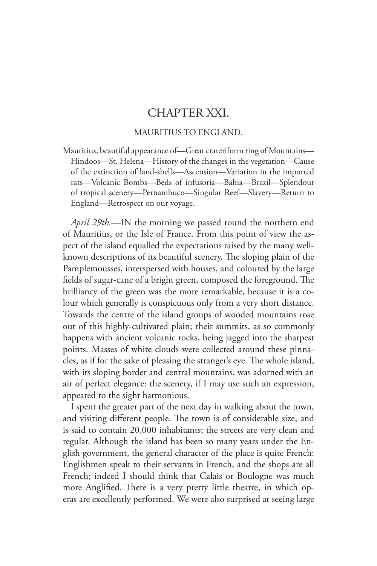## CHAPTER XXI.

## MAURITIUS TO ENGLAND.

Mauritius, beautiful appearance of—Great crateriform ring of Mountains— Hindoos—St. Helena—History of the changes in the vegetation—Cause of the extinction of land-shells—Ascension—Variation in the imported rats—Volcanic Bombs—Beds of infusoria—Bahia—Brazil—Splendour of tropical scenery—Pernambuco—Singular Reef—Slavery—Return to England—Retrospect on our voyage.

*April 29th.*—IN the morning we passed round the northern end of Mauritius, or the Isle of France. From this point of view the aspect of the island equalled the expectations raised by the many wellknown descriptions of its beautiful scenery. The sloping plain of the Pamplemousses, interspersed with houses, and coloured by the large fields of sugar-cane of a bright green, composed the foreground. The brilliancy of the green was the more remarkable, because it is a colour which generally is conspicuous only from a very short distance. Towards the centre of the island groups of wooded mountains rose out of this highly-cultivated plain; their summits, as so commonly happens with ancient volcanic rocks, being jagged into the sharpest points. Masses of white clouds were collected around these pinnacles, as if for the sake of pleasing the stranger's eye. The whole island, with its sloping border and central mountains, was adorned with an air of perfect elegance: the scenery, if I may use such an expression, appeared to the sight harmonious.

I spent the greater part of the next day in walking about the town, and visiting different people. The town is of considerable size, and is said to contain 20,000 inhabitants; the streets are very clean and regular. Although the island has been so many years under the English government, the general character of the place is quite French: Englishmen speak to their servants in French, and the shops are all French; indeed I should think that Calais or Boulogne was much more Anglified. There is a very pretty little theatre, in which operas are excellently performed. We were also surprised at seeing large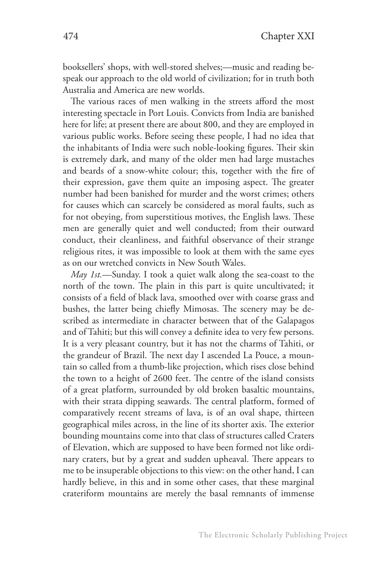booksellers' shops, with well-stored shelves;—music and reading bespeak our approach to the old world of civilization; for in truth both Australia and America are new worlds.

The various races of men walking in the streets afford the most interesting spectacle in Port Louis. Convicts from India are banished here for life; at present there are about 800, and they are employed in various public works. Before seeing these people, I had no idea that the inhabitants of India were such noble-looking figures. Their skin is extremely dark, and many of the older men had large mustaches and beards of a snow-white colour; this, together with the fire of their expression, gave them quite an imposing aspect. The greater number had been banished for murder and the worst crimes; others for causes which can scarcely be considered as moral faults, such as for not obeying, from superstitious motives, the English laws. These men are generally quiet and well conducted; from their outward conduct, their cleanliness, and faithful observance of their strange religious rites, it was impossible to look at them with the same eyes as on our wretched convicts in New South Wales.

*May 1st.*—Sunday. I took a quiet walk along the sea-coast to the north of the town. The plain in this part is quite uncultivated; it consists of a field of black lava, smoothed over with coarse grass and bushes, the latter being chiefly Mimosas. The scenery may be described as intermediate in character between that of the Galapagos and of Tahiti; but this will convey a definite idea to very few persons. It is a very pleasant country, but it has not the charms of Tahiti, or the grandeur of Brazil. The next day I ascended La Pouce, a mountain so called from a thumb-like projection, which rises close behind the town to a height of 2600 feet. The centre of the island consists of a great platform, surrounded by old broken basaltic mountains, with their strata dipping seawards. The central platform, formed of comparatively recent streams of lava, is of an oval shape, thirteen geographical miles across, in the line of its shorter axis. The exterior bounding mountains come into that class of structures called Craters of Elevation, which are supposed to have been formed not like ordinary craters, but by a great and sudden upheaval. There appears to me to be insuperable objections to this view: on the other hand, I can hardly believe, in this and in some other cases, that these marginal crateriform mountains are merely the basal remnants of immense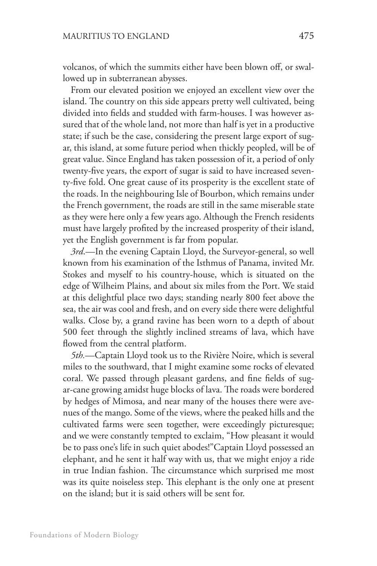volcanos, of which the summits either have been blown off, or swallowed up in subterranean abysses.

From our elevated position we enjoyed an excellent view over the island. The country on this side appears pretty well cultivated, being divided into fields and studded with farm-houses. I was however assured that of the whole land, not more than half is yet in a productive state; if such be the case, considering the present large export of sugar, this island, at some future period when thickly peopled, will be of great value. Since England has taken possession of it, a period of only twenty-five years, the export of sugar is said to have increased seventy-five fold. One great cause of its prosperity is the excellent state of the roads. In the neighbouring Isle of Bourbon, which remains under the French government, the roads are still in the same miserable state as they were here only a few years ago. Although the French residents must have largely profited by the increased prosperity of their island, yet the English government is far from popular.

*3rd*.—In the evening Captain Lloyd, the Surveyor-general, so well known from his examination of the Isthmus of Panama, invited Mr. Stokes and myself to his country-house, which is situated on the edge of Wilheim Plains, and about six miles from the Port. We staid at this delightful place two days; standing nearly 800 feet above the sea, the air was cool and fresh, and on every side there were delightful walks. Close by, a grand ravine has been worn to a depth of about 500 feet through the slightly inclined streams of lava, which have flowed from the central platform.

*5th.*—Captain Lloyd took us to the Rivière Noire, which is several miles to the southward, that I might examine some rocks of elevated coral. We passed through pleasant gardens, and fine fields of sugar-cane growing amidst huge blocks of lava. The roads were bordered by hedges of Mimosa, and near many of the houses there were avenues of the mango. Some of the views, where the peaked hills and the cultivated farms were seen together, were exceedingly picturesque; and we were constantly tempted to exclaim, "How pleasant it would be to pass one's life in such quiet abodes!"Captain Lloyd possessed an elephant, and he sent it half way with us, that we might enjoy a ride in true Indian fashion. The circumstance which surprised me most was its quite noiseless step. This elephant is the only one at present on the island; but it is said others will be sent for.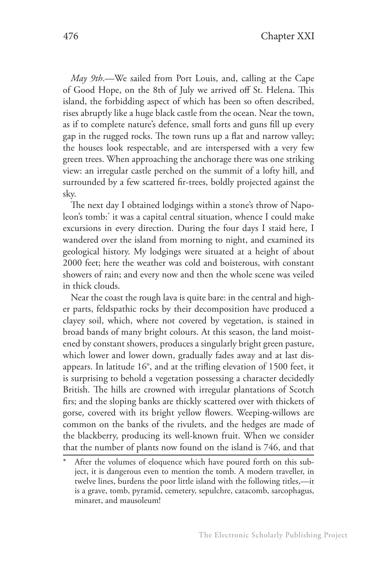*May 9th*.—We sailed from Port Louis, and, calling at the Cape of Good Hope, on the 8th of July we arrived off St. Helena. This island, the forbidding aspect of which has been so often described, rises abruptly like a huge black castle from the ocean. Near the town, as if to complete nature's defence, small forts and guns fill up every gap in the rugged rocks. The town runs up a flat and narrow valley; the houses look respectable, and are interspersed with a very few green trees. When approaching the anchorage there was one striking view: an irregular castle perched on the summit of a lofty hill, and surrounded by a few scattered fir-trees, boldly projected against the sky.

The next day I obtained lodgings within a stone's throw of Napoleon's tomb:\* it was a capital central situation, whence I could make excursions in every direction. During the four days I staid here, I wandered over the island from morning to night, and examined its geological history. My lodgings were situated at a height of about 2000 feet; here the weather was cold and boisterous, with constant showers of rain; and every now and then the whole scene was veiled in thick clouds.

Near the coast the rough lava is quite bare: in the central and higher parts, feldspathic rocks by their decomposition have produced a clayey soil, which, where not covered by vegetation, is stained in broad bands of many bright colours. At this season, the land moistened by constant showers, produces a singularly bright green pasture, which lower and lower down, gradually fades away and at last disappears. In latitude 16°, and at the trifling elevation of 1500 feet, it is surprising to behold a vegetation possessing a character decidedly British. The hills are crowned with irregular plantations of Scotch firs; and the sloping banks are thickly scattered over with thickets of gorse, covered with its bright yellow flowers. Weeping-willows are common on the banks of the rivulets, and the hedges are made of the blackberry, producing its well-known fruit. When we consider that the number of plants now found on the island is 746, and that

After the volumes of eloquence which have poured forth on this subject, it is dangerous even to mention the tomb. A modern traveller, in twelve lines, burdens the poor little island with the following titles,—it is a grave, tomb, pyramid, cemetery, sepulchre, catacomb, sarcophagus, minaret, and mausoleum!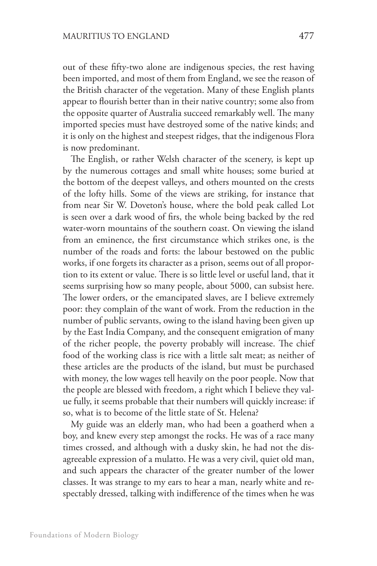out of these fifty-two alone are indigenous species, the rest having been imported, and most of them from England, we see the reason of the British character of the vegetation. Many of these English plants appear to flourish better than in their native country; some also from the opposite quarter of Australia succeed remarkably well. The many imported species must have destroyed some of the native kinds; and it is only on the highest and steepest ridges, that the indigenous Flora is now predominant.

The English, or rather Welsh character of the scenery, is kept up by the numerous cottages and small white houses; some buried at the bottom of the deepest valleys, and others mounted on the crests of the lofty hills. Some of the views are striking, for instance that from near Sir W. Doveton's house, where the bold peak called Lot is seen over a dark wood of firs, the whole being backed by the red water-worn mountains of the southern coast. On viewing the island from an eminence, the first circumstance which strikes one, is the number of the roads and forts: the labour bestowed on the public works, if one forgets its character as a prison, seems out of all proportion to its extent or value. There is so little level or useful land, that it seems surprising how so many people, about 5000, can subsist here. The lower orders, or the emancipated slaves, are I believe extremely poor: they complain of the want of work. From the reduction in the number of public servants, owing to the island having been given up by the East India Company, and the consequent emigration of many of the richer people, the poverty probably will increase. The chief food of the working class is rice with a little salt meat; as neither of these articles are the products of the island, but must be purchased with money, the low wages tell heavily on the poor people. Now that the people are blessed with freedom, a right which I believe they value fully, it seems probable that their numbers will quickly increase: if so, what is to become of the little state of St. Helena?

My guide was an elderly man, who had been a goatherd when a boy, and knew every step amongst the rocks. He was of a race many times crossed, and although with a dusky skin, he had not the disagreeable expression of a mulatto. He was a very civil, quiet old man, and such appears the character of the greater number of the lower classes. It was strange to my ears to hear a man, nearly white and respectably dressed, talking with indifference of the times when he was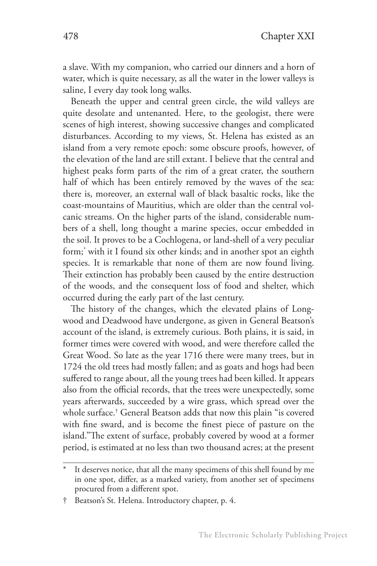a slave. With my companion, who carried our dinners and a horn of water, which is quite necessary, as all the water in the lower valleys is saline, I every day took long walks.

Beneath the upper and central green circle, the wild valleys are quite desolate and untenanted. Here, to the geologist, there were scenes of high interest, showing successive changes and complicated disturbances. According to my views, St. Helena has existed as an island from a very remote epoch: some obscure proofs, however, of the elevation of the land are still extant. I believe that the central and highest peaks form parts of the rim of a great crater, the southern half of which has been entirely removed by the waves of the sea: there is, moreover, an external wall of black basaltic rocks, like the coast-mountains of Mauritius, which are older than the central volcanic streams. On the higher parts of the island, considerable numbers of a shell, long thought a marine species, occur embedded in the soil. It proves to be a Cochlogena, or land-shell of a very peculiar form;\* with it I found six other kinds; and in another spot an eighth species. It is remarkable that none of them are now found living. Their extinction has probably been caused by the entire destruction of the woods, and the consequent loss of food and shelter, which occurred during the early part of the last century.

The history of the changes, which the elevated plains of Longwood and Deadwood have undergone, as given in General Beatson's account of the island, is extremely curious. Both plains, it is said, in former times were covered with wood, and were therefore called the Great Wood. So late as the year 1716 there were many trees, but in 1724 the old trees had mostly fallen; and as goats and hogs had been suffered to range about, all the young trees had been killed. It appears also from the official records, that the trees were unexpectedly, some years afterwards, succeeded by a wire grass, which spread over the whole surface.† General Beatson adds that now this plain "is covered with fine sward, and is become the finest piece of pasture on the island."The extent of surface, probably covered by wood at a former period, is estimated at no less than two thousand acres; at the present

It deserves notice, that all the many specimens of this shell found by me in one spot, differ, as a marked variety, from another set of specimens procured from a different spot.

<sup>†</sup> Beatson's St. Helena. Introductory chapter, p. 4.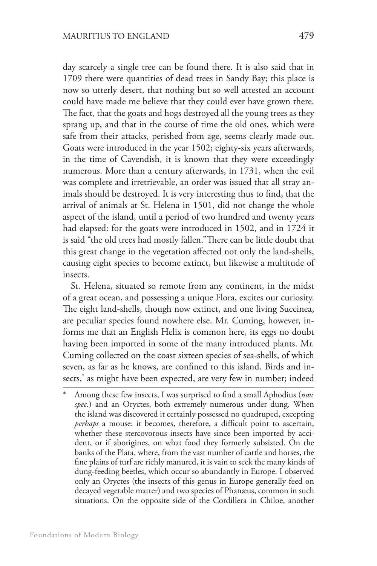day scarcely a single tree can be found there. It is also said that in 1709 there were quantities of dead trees in Sandy Bay; this place is now so utterly desert, that nothing but so well attested an account could have made me believe that they could ever have grown there. The fact, that the goats and hogs destroyed all the young trees as they sprang up, and that in the course of time the old ones, which were safe from their attacks, perished from age, seems clearly made out. Goats were introduced in the year 1502; eighty-six years afterwards, in the time of Cavendish, it is known that they were exceedingly numerous. More than a century afterwards, in 1731, when the evil was complete and irretrievable, an order was issued that all stray animals should be destroyed. It is very interesting thus to find, that the arrival of animals at St. Helena in 1501, did not change the whole aspect of the island, until a period of two hundred and twenty years had elapsed: for the goats were introduced in 1502, and in 1724 it is said "the old trees had mostly fallen."There can be little doubt that this great change in the vegetation affected not only the land-shells, causing eight species to become extinct, but likewise a multitude of insects.

St. Helena, situated so remote from any continent, in the midst of a great ocean, and possessing a unique Flora, excites our curiosity. The eight land-shells, though now extinct, and one living Succinea, are peculiar species found nowhere else. Mr. Cuming, however, informs me that an English Helix is common here, its eggs no doubt having been imported in some of the many introduced plants. Mr. Cuming collected on the coast sixteen species of sea-shells, of which seven, as far as he knows, are confined to this island. Birds and insects,\* as might have been expected, are very few in number; indeed

Among these few insects, I was surprised to find a small Aphodius (nov. *spec.*) and an Oryctes, both extremely numerous under dung. When the island was discovered it certainly possessed no quadruped, excepting *perhaps* a mouse: it becomes, therefore, a difficult point to ascertain, whether these stercovorous insects have since been imported by accident, or if aborigines, on what food they formerly subsisted. On the banks of the Plata, where, from the vast number of cattle and horses, the fine plains of turf are richly manured, it is vain to seek the many kinds of dung-feeding beetles, which occur so abundantly in Europe. I observed only an Oryctes (the insects of this genus in Europe generally feed on decayed vegetable matter) and two species of Phanæus, common in such situations. On the opposite side of the Cordillera in Chiloe, another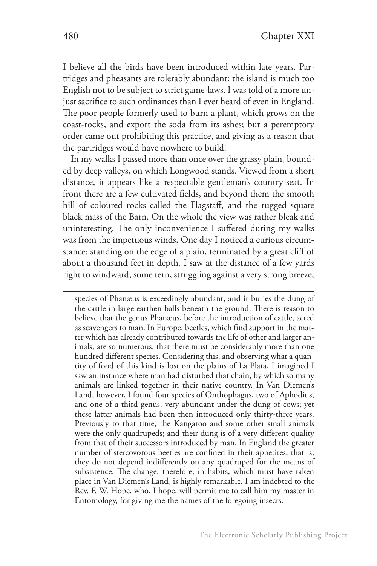I believe all the birds have been introduced within late years. Partridges and pheasants are tolerably abundant: the island is much too English not to be subject to strict game-laws. I was told of a more unjust sacrifice to such ordinances than I ever heard of even in England. The poor people formerly used to burn a plant, which grows on the coast-rocks, and export the soda from its ashes; but a peremptory order came out prohibiting this practice, and giving as a reason that the partridges would have nowhere to build!

In my walks I passed more than once over the grassy plain, bounded by deep valleys, on which Longwood stands. Viewed from a short distance, it appears like a respectable gentleman's country-seat. In front there are a few cultivated fields, and beyond them the smooth hill of coloured rocks called the Flagstaff, and the rugged square black mass of the Barn. On the whole the view was rather bleak and uninteresting. The only inconvenience I suffered during my walks was from the impetuous winds. One day I noticed a curious circumstance: standing on the edge of a plain, terminated by a great cliff of about a thousand feet in depth, I saw at the distance of a few yards right to windward, some tern, struggling against a very strong breeze,

species of Phanæus is exceedingly abundant, and it buries the dung of the cattle in large earthen balls beneath the ground. There is reason to believe that the genus Phanæus, before the introduction of cattle, acted as scavengers to man. In Europe, beetles, which find support in the matter which has already contributed towards the life of other and larger animals, are so numerous, that there must be considerably more than one hundred different species. Considering this, and observing what a quantity of food of this kind is lost on the plains of La Plata, I imagined I saw an instance where man had disturbed that chain, by which so many animals are linked together in their native country. In Van Diemen's Land, however, I found four species of Onthophagus, two of Aphodius, and one of a third genus, very abundant under the dung of cows; yet these latter animals had been then introduced only thirty-three years. Previously to that time, the Kangaroo and some other small animals were the only quadrupeds; and their dung is of a very different quality from that of their successors introduced by man. In England the greater number of stercovorous beetles are confined in their appetites; that is, they do not depend indifferently on any quadruped for the means of subsistence. The change, therefore, in habits, which must have taken place in Van Diemen's Land, is highly remarkable. I am indebted to the Rev. F. W. Hope, who, I hope, will permit me to call him my master in Entomology, for giving me the names of the foregoing insects.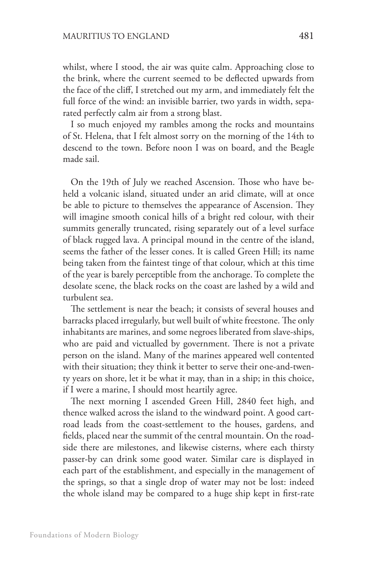whilst, where I stood, the air was quite calm. Approaching close to the brink, where the current seemed to be deflected upwards from the face of the cliff, I stretched out my arm, and immediately felt the full force of the wind: an invisible barrier, two yards in width, separated perfectly calm air from a strong blast.

I so much enjoyed my rambles among the rocks and mountains of St. Helena, that I felt almost sorry on the morning of the 14th to descend to the town. Before noon I was on board, and the Beagle made sail.

On the 19th of July we reached Ascension. Those who have beheld a volcanic island, situated under an arid climate, will at once be able to picture to themselves the appearance of Ascension. They will imagine smooth conical hills of a bright red colour, with their summits generally truncated, rising separately out of a level surface of black rugged lava. A principal mound in the centre of the island, seems the father of the lesser cones. It is called Green Hill; its name being taken from the faintest tinge of that colour, which at this time of the year is barely perceptible from the anchorage. To complete the desolate scene, the black rocks on the coast are lashed by a wild and turbulent sea.

The settlement is near the beach; it consists of several houses and barracks placed irregularly, but well built of white freestone. The only inhabitants are marines, and some negroes liberated from slave-ships, who are paid and victualled by government. There is not a private person on the island. Many of the marines appeared well contented with their situation; they think it better to serve their one-and-twenty years on shore, let it be what it may, than in a ship; in this choice, if I were a marine, I should most heartily agree.

The next morning I ascended Green Hill, 2840 feet high, and thence walked across the island to the windward point. A good cartroad leads from the coast-settlement to the houses, gardens, and fields, placed near the summit of the central mountain. On the roadside there are milestones, and likewise cisterns, where each thirsty passer-by can drink some good water. Similar care is displayed in each part of the establishment, and especially in the management of the springs, so that a single drop of water may not be lost: indeed the whole island may be compared to a huge ship kept in first-rate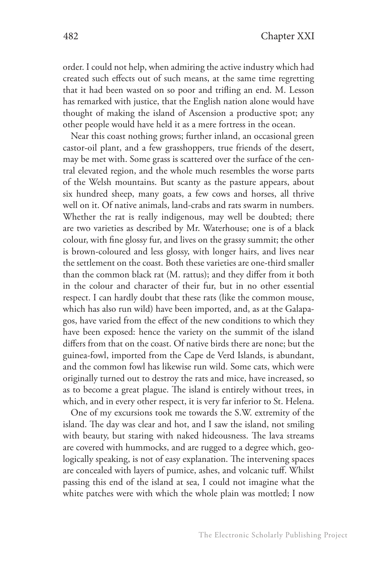order. I could not help, when admiring the active industry which had created such effects out of such means, at the same time regretting that it had been wasted on so poor and trifling an end. M. Lesson has remarked with justice, that the English nation alone would have thought of making the island of Ascension a productive spot; any other people would have held it as a mere fortress in the ocean.

Near this coast nothing grows; further inland, an occasional green castor-oil plant, and a few grasshoppers, true friends of the desert, may be met with. Some grass is scattered over the surface of the central elevated region, and the whole much resembles the worse parts of the Welsh mountains. But scanty as the pasture appears, about six hundred sheep, many goats, a few cows and horses, all thrive well on it. Of native animals, land-crabs and rats swarm in numbers. Whether the rat is really indigenous, may well be doubted; there are two varieties as described by Mr. Waterhouse; one is of a black colour, with fine glossy fur, and lives on the grassy summit; the other is brown-coloured and less glossy, with longer hairs, and lives near the settlement on the coast. Both these varieties are one-third smaller than the common black rat (M. rattus); and they differ from it both in the colour and character of their fur, but in no other essential respect. I can hardly doubt that these rats (like the common mouse, which has also run wild) have been imported, and, as at the Galapagos, have varied from the effect of the new conditions to which they have been exposed: hence the variety on the summit of the island differs from that on the coast. Of native birds there are none; but the guinea-fowl, imported from the Cape de Verd Islands, is abundant, and the common fowl has likewise run wild. Some cats, which were originally turned out to destroy the rats and mice, have increased, so as to become a great plague. The island is entirely without trees, in which, and in every other respect, it is very far inferior to St. Helena.

One of my excursions took me towards the S.W. extremity of the island. The day was clear and hot, and I saw the island, not smiling with beauty, but staring with naked hideousness. The lava streams are covered with hummocks, and are rugged to a degree which, geologically speaking, is not of easy explanation. The intervening spaces are concealed with layers of pumice, ashes, and volcanic tuff. Whilst passing this end of the island at sea, I could not imagine what the white patches were with which the whole plain was mottled; I now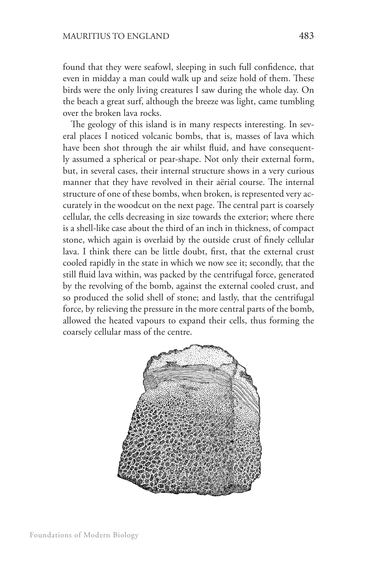found that they were seafowl, sleeping in such full confidence, that even in midday a man could walk up and seize hold of them. These birds were the only living creatures I saw during the whole day. On the beach a great surf, although the breeze was light, came tumbling over the broken lava rocks.

The geology of this island is in many respects interesting. In several places I noticed volcanic bombs, that is, masses of lava which have been shot through the air whilst fluid, and have consequently assumed a spherical or pear-shape. Not only their external form, but, in several cases, their internal structure shows in a very curious manner that they have revolved in their aërial course. The internal structure of one of these bombs, when broken, is represented very accurately in the woodcut on the next page. The central part is coarsely cellular, the cells decreasing in size towards the exterior; where there is a shell-like case about the third of an inch in thickness, of compact stone, which again is overlaid by the outside crust of finely cellular lava. I think there can be little doubt, first, that the external crust cooled rapidly in the state in which we now see it; secondly, that the still fluid lava within, was packed by the centrifugal force, generated by the revolving of the bomb, against the external cooled crust, and so produced the solid shell of stone; and lastly, that the centrifugal force, by relieving the pressure in the more central parts of the bomb, allowed the heated vapours to expand their cells, thus forming the coarsely cellular mass of the centre.

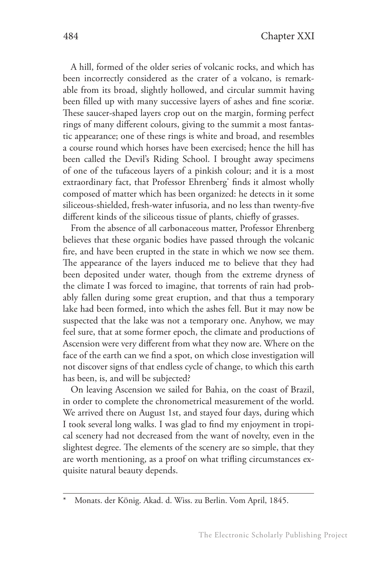A hill, formed of the older series of volcanic rocks, and which has been incorrectly considered as the crater of a volcano, is remarkable from its broad, slightly hollowed, and circular summit having been filled up with many successive layers of ashes and fine scoriæ. These saucer-shaped layers crop out on the margin, forming perfect rings of many different colours, giving to the summit a most fantastic appearance; one of these rings is white and broad, and resembles a course round which horses have been exercised; hence the hill has been called the Devil's Riding School. I brought away specimens of one of the tufaceous layers of a pinkish colour; and it is a most extraordinary fact, that Professor Ehrenberg\* finds it almost wholly composed of matter which has been organized: he detects in it some siliceous-shielded, fresh-water infusoria, and no less than twenty-five different kinds of the siliceous tissue of plants, chiefly of grasses.

From the absence of all carbonaceous matter, Professor Ehrenberg believes that these organic bodies have passed through the volcanic fire, and have been erupted in the state in which we now see them. The appearance of the layers induced me to believe that they had been deposited under water, though from the extreme dryness of the climate I was forced to imagine, that torrents of rain had probably fallen during some great eruption, and that thus a temporary lake had been formed, into which the ashes fell. But it may now be suspected that the lake was not a temporary one. Anyhow, we may feel sure, that at some former epoch, the climate and productions of Ascension were very different from what they now are. Where on the face of the earth can we find a spot, on which close investigation will not discover signs of that endless cycle of change, to which this earth has been, is, and will be subjected?

On leaving Ascension we sailed for Bahia, on the coast of Brazil, in order to complete the chronometrical measurement of the world. We arrived there on August 1st, and stayed four days, during which I took several long walks. I was glad to find my enjoyment in tropical scenery had not decreased from the want of novelty, even in the slightest degree. The elements of the scenery are so simple, that they are worth mentioning, as a proof on what trifling circumstances exquisite natural beauty depends.

Monats. der König. Akad. d. Wiss. zu Berlin. Vom April, 1845.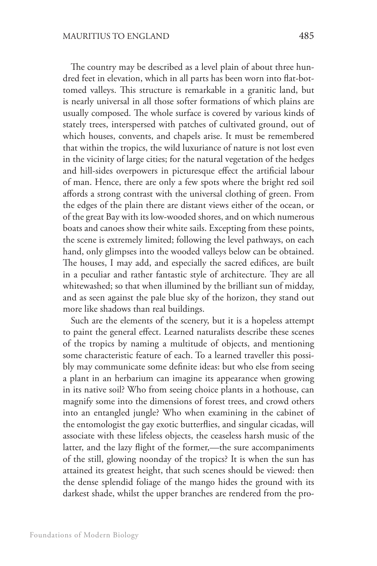The country may be described as a level plain of about three hundred feet in elevation, which in all parts has been worn into flat-bottomed valleys. This structure is remarkable in a granitic land, but is nearly universal in all those softer formations of which plains are usually composed. The whole surface is covered by various kinds of stately trees, interspersed with patches of cultivated ground, out of which houses, convents, and chapels arise. It must be remembered that within the tropics, the wild luxuriance of nature is not lost even in the vicinity of large cities; for the natural vegetation of the hedges and hill-sides overpowers in picturesque effect the artificial labour of man. Hence, there are only a few spots where the bright red soil affords a strong contrast with the universal clothing of green. From the edges of the plain there are distant views either of the ocean, or of the great Bay with its low-wooded shores, and on which numerous boats and canoes show their white sails. Excepting from these points, the scene is extremely limited; following the level pathways, on each hand, only glimpses into the wooded valleys below can be obtained. The houses, I may add, and especially the sacred edifices, are built in a peculiar and rather fantastic style of architecture. They are all whitewashed; so that when illumined by the brilliant sun of midday, and as seen against the pale blue sky of the horizon, they stand out more like shadows than real buildings.

Such are the elements of the scenery, but it is a hopeless attempt to paint the general effect. Learned naturalists describe these scenes of the tropics by naming a multitude of objects, and mentioning some characteristic feature of each. To a learned traveller this possibly may communicate some definite ideas: but who else from seeing a plant in an herbarium can imagine its appearance when growing in its native soil? Who from seeing choice plants in a hothouse, can magnify some into the dimensions of forest trees, and crowd others into an entangled jungle? Who when examining in the cabinet of the entomologist the gay exotic butterflies, and singular cicadas, will associate with these lifeless objects, the ceaseless harsh music of the latter, and the lazy flight of the former,—the sure accompaniments of the still, glowing noonday of the tropics? It is when the sun has attained its greatest height, that such scenes should be viewed: then the dense splendid foliage of the mango hides the ground with its darkest shade, whilst the upper branches are rendered from the pro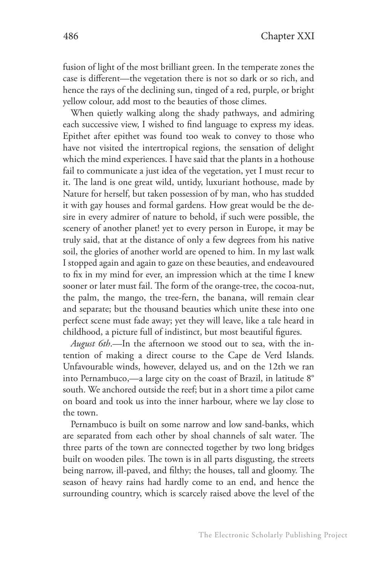fusion of light of the most brilliant green. In the temperate zones the case is different—the vegetation there is not so dark or so rich, and hence the rays of the declining sun, tinged of a red, purple, or bright yellow colour, add most to the beauties of those climes.

When quietly walking along the shady pathways, and admiring each successive view, I wished to find language to express my ideas. Epithet after epithet was found too weak to convey to those who have not visited the intertropical regions, the sensation of delight which the mind experiences. I have said that the plants in a hothouse fail to communicate a just idea of the vegetation, yet I must recur to it. The land is one great wild, untidy, luxuriant hothouse, made by Nature for herself, but taken possession of by man, who has studded it with gay houses and formal gardens. How great would be the desire in every admirer of nature to behold, if such were possible, the scenery of another planet! yet to every person in Europe, it may be truly said, that at the distance of only a few degrees from his native soil, the glories of another world are opened to him. In my last walk I stopped again and again to gaze on these beauties, and endeavoured to fix in my mind for ever, an impression which at the time I knew sooner or later must fail. The form of the orange-tree, the cocoa-nut, the palm, the mango, the tree-fern, the banana, will remain clear and separate; but the thousand beauties which unite these into one perfect scene must fade away; yet they will leave, like a tale heard in childhood, a picture full of indistinct, but most beautiful figures.

*August 6th*.—In the afternoon we stood out to sea, with the intention of making a direct course to the Cape de Verd Islands. Unfavourable winds, however, delayed us, and on the 12th we ran into Pernambuco,—a large city on the coast of Brazil, in latitude 8° south. We anchored outside the reef; but in a short time a pilot came on board and took us into the inner harbour, where we lay close to the town.

Pernambuco is built on some narrow and low sand-banks, which are separated from each other by shoal channels of salt water. The three parts of the town are connected together by two long bridges built on wooden piles. The town is in all parts disgusting, the streets being narrow, ill-paved, and filthy; the houses, tall and gloomy. The season of heavy rains had hardly come to an end, and hence the surrounding country, which is scarcely raised above the level of the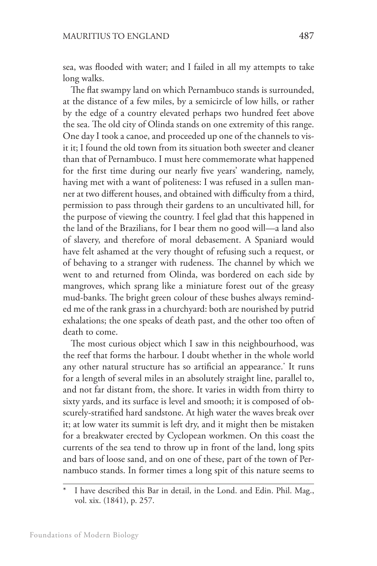sea, was flooded with water; and I failed in all my attempts to take long walks.

The flat swampy land on which Pernambuco stands is surrounded, at the distance of a few miles, by a semicircle of low hills, or rather by the edge of a country elevated perhaps two hundred feet above the sea. The old city of Olinda stands on one extremity of this range. One day I took a canoe, and proceeded up one of the channels to visit it; I found the old town from its situation both sweeter and cleaner than that of Pernambuco. I must here commemorate what happened for the first time during our nearly five years' wandering, namely, having met with a want of politeness: I was refused in a sullen manner at two different houses, and obtained with difficulty from a third, permission to pass through their gardens to an uncultivated hill, for the purpose of viewing the country. I feel glad that this happened in the land of the Brazilians, for I bear them no good will—a land also of slavery, and therefore of moral debasement. A Spaniard would have felt ashamed at the very thought of refusing such a request, or of behaving to a stranger with rudeness. The channel by which we went to and returned from Olinda, was bordered on each side by mangroves, which sprang like a miniature forest out of the greasy mud-banks. The bright green colour of these bushes always reminded me of the rank grass in a churchyard: both are nourished by putrid exhalations; the one speaks of death past, and the other too often of death to come.

The most curious object which I saw in this neighbourhood, was the reef that forms the harbour. I doubt whether in the whole world any other natural structure has so artificial an appearance.\* It runs for a length of several miles in an absolutely straight line, parallel to, and not far distant from, the shore. It varies in width from thirty to sixty yards, and its surface is level and smooth; it is composed of obscurely-stratified hard sandstone. At high water the waves break over it; at low water its summit is left dry, and it might then be mistaken for a breakwater erected by Cyclopean workmen. On this coast the currents of the sea tend to throw up in front of the land, long spits and bars of loose sand, and on one of these, part of the town of Pernambuco stands. In former times a long spit of this nature seems to

I have described this Bar in detail, in the Lond. and Edin. Phil. Mag., vol. xix. (1841), p. 257.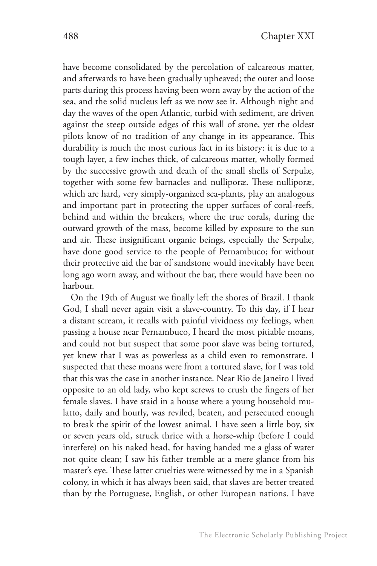have become consolidated by the percolation of calcareous matter, and afterwards to have been gradually upheaved; the outer and loose parts during this process having been worn away by the action of the sea, and the solid nucleus left as we now see it. Although night and day the waves of the open Atlantic, turbid with sediment, are driven against the steep outside edges of this wall of stone, yet the oldest pilots know of no tradition of any change in its appearance. This durability is much the most curious fact in its history: it is due to a tough layer, a few inches thick, of calcareous matter, wholly formed by the successive growth and death of the small shells of Serpulæ, together with some few barnacles and nulliporæ. These nulliporæ, which are hard, very simply-organized sea-plants, play an analogous and important part in protecting the upper surfaces of coral-reefs, behind and within the breakers, where the true corals, during the outward growth of the mass, become killed by exposure to the sun and air. These insignificant organic beings, especially the Serpulæ, have done good service to the people of Pernambuco; for without their protective aid the bar of sandstone would inevitably have been long ago worn away, and without the bar, there would have been no harbour.

On the 19th of August we finally left the shores of Brazil. I thank God, I shall never again visit a slave-country. To this day, if I hear a distant scream, it recalls with painful vividness my feelings, when passing a house near Pernambuco, I heard the most pitiable moans, and could not but suspect that some poor slave was being tortured, yet knew that I was as powerless as a child even to remonstrate. I suspected that these moans were from a tortured slave, for I was told that this was the case in another instance. Near Rio de Janeiro I lived opposite to an old lady, who kept screws to crush the fingers of her female slaves. I have staid in a house where a young household mulatto, daily and hourly, was reviled, beaten, and persecuted enough to break the spirit of the lowest animal. I have seen a little boy, six or seven years old, struck thrice with a horse-whip (before I could interfere) on his naked head, for having handed me a glass of water not quite clean; I saw his father tremble at a mere glance from his master's eye. These latter cruelties were witnessed by me in a Spanish colony, in which it has always been said, that slaves are better treated than by the Portuguese, English, or other European nations. I have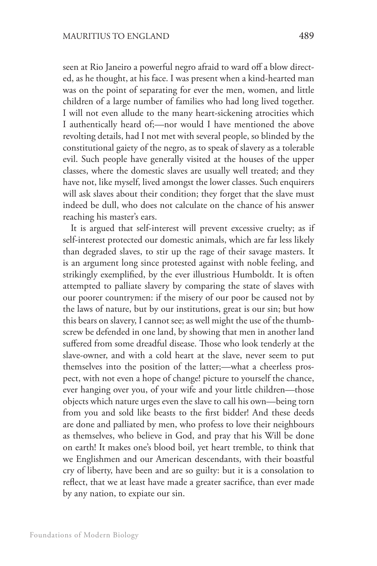seen at Rio Janeiro a powerful negro afraid to ward off a blow directed, as he thought, at his face. I was present when a kind-hearted man was on the point of separating for ever the men, women, and little children of a large number of families who had long lived together. I will not even allude to the many heart-sickening atrocities which I authentically heard of;—nor would I have mentioned the above revolting details, had I not met with several people, so blinded by the constitutional gaiety of the negro, as to speak of slavery as a tolerable evil. Such people have generally visited at the houses of the upper classes, where the domestic slaves are usually well treated; and they have not, like myself, lived amongst the lower classes. Such enquirers will ask slaves about their condition; they forget that the slave must indeed be dull, who does not calculate on the chance of his answer reaching his master's ears.

It is argued that self-interest will prevent excessive cruelty; as if self-interest protected our domestic animals, which are far less likely than degraded slaves, to stir up the rage of their savage masters. It is an argument long since protested against with noble feeling, and strikingly exemplified, by the ever illustrious Humboldt. It is often attempted to palliate slavery by comparing the state of slaves with our poorer countrymen: if the misery of our poor be caused not by the laws of nature, but by our institutions, great is our sin; but how this bears on slavery, I cannot see; as well might the use of the thumbscrew be defended in one land, by showing that men in another land suffered from some dreadful disease. Those who look tenderly at the slave-owner, and with a cold heart at the slave, never seem to put themselves into the position of the latter;—what a cheerless prospect, with not even a hope of change! picture to yourself the chance, ever hanging over you, of your wife and your little children—those objects which nature urges even the slave to call his own—being torn from you and sold like beasts to the first bidder! And these deeds are done and palliated by men, who profess to love their neighbours as themselves, who believe in God, and pray that his Will be done on earth! It makes one's blood boil, yet heart tremble, to think that we Englishmen and our American descendants, with their boastful cry of liberty, have been and are so guilty: but it is a consolation to reflect, that we at least have made a greater sacrifice, than ever made by any nation, to expiate our sin.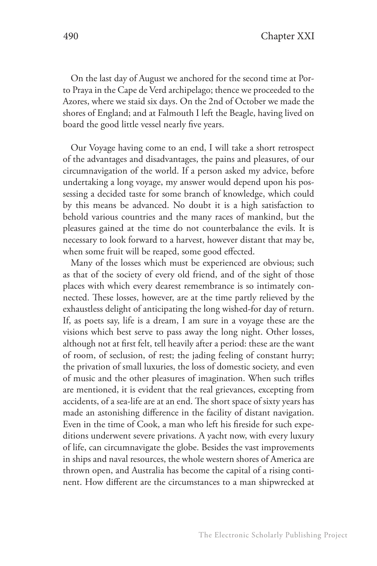On the last day of August we anchored for the second time at Porto Praya in the Cape de Verd archipelago; thence we proceeded to the Azores, where we staid six days. On the 2nd of October we made the shores of England; and at Falmouth I left the Beagle, having lived on board the good little vessel nearly five years.

Our Voyage having come to an end, I will take a short retrospect of the advantages and disadvantages, the pains and pleasures, of our circumnavigation of the world. If a person asked my advice, before undertaking a long voyage, my answer would depend upon his possessing a decided taste for some branch of knowledge, which could by this means be advanced. No doubt it is a high satisfaction to behold various countries and the many races of mankind, but the pleasures gained at the time do not counterbalance the evils. It is necessary to look forward to a harvest, however distant that may be, when some fruit will be reaped, some good effected.

Many of the losses which must be experienced are obvious; such as that of the society of every old friend, and of the sight of those places with which every dearest remembrance is so intimately connected. These losses, however, are at the time partly relieved by the exhaustless delight of anticipating the long wished-for day of return. If, as poets say, life is a dream, I am sure in a voyage these are the visions which best serve to pass away the long night. Other losses, although not at first felt, tell heavily after a period: these are the want of room, of seclusion, of rest; the jading feeling of constant hurry; the privation of small luxuries, the loss of domestic society, and even of music and the other pleasures of imagination. When such trifles are mentioned, it is evident that the real grievances, excepting from accidents, of a sea-life are at an end. The short space of sixty years has made an astonishing difference in the facility of distant navigation. Even in the time of Cook, a man who left his fireside for such expeditions underwent severe privations. A yacht now, with every luxury of life, can circumnavigate the globe. Besides the vast improvements in ships and naval resources, the whole western shores of America are thrown open, and Australia has become the capital of a rising continent. How different are the circumstances to a man shipwrecked at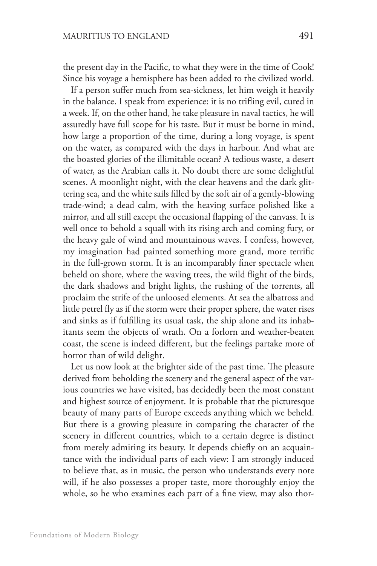the present day in the Pacific, to what they were in the time of Cook! Since his voyage a hemisphere has been added to the civilized world.

If a person suffer much from sea-sickness, let him weigh it heavily in the balance. I speak from experience: it is no trifling evil, cured in a week. If, on the other hand, he take pleasure in naval tactics, he will assuredly have full scope for his taste. But it must be borne in mind, how large a proportion of the time, during a long voyage, is spent on the water, as compared with the days in harbour. And what are the boasted glories of the illimitable ocean? A tedious waste, a desert of water, as the Arabian calls it. No doubt there are some delightful scenes. A moonlight night, with the clear heavens and the dark glittering sea, and the white sails filled by the soft air of a gently-blowing trade-wind; a dead calm, with the heaving surface polished like a mirror, and all still except the occasional flapping of the canvass. It is well once to behold a squall with its rising arch and coming fury, or the heavy gale of wind and mountainous waves. I confess, however, my imagination had painted something more grand, more terrific in the full-grown storm. It is an incomparably finer spectacle when beheld on shore, where the waving trees, the wild flight of the birds, the dark shadows and bright lights, the rushing of the torrents, all proclaim the strife of the unloosed elements. At sea the albatross and little petrel fly as if the storm were their proper sphere, the water rises and sinks as if fulfilling its usual task, the ship alone and its inhabitants seem the objects of wrath. On a forlorn and weather-beaten coast, the scene is indeed different, but the feelings partake more of horror than of wild delight.

Let us now look at the brighter side of the past time. The pleasure derived from beholding the scenery and the general aspect of the various countries we have visited, has decidedly been the most constant and highest source of enjoyment. It is probable that the picturesque beauty of many parts of Europe exceeds anything which we beheld. But there is a growing pleasure in comparing the character of the scenery in different countries, which to a certain degree is distinct from merely admiring its beauty. It depends chiefly on an acquaintance with the individual parts of each view: I am strongly induced to believe that, as in music, the person who understands every note will, if he also possesses a proper taste, more thoroughly enjoy the whole, so he who examines each part of a fine view, may also thor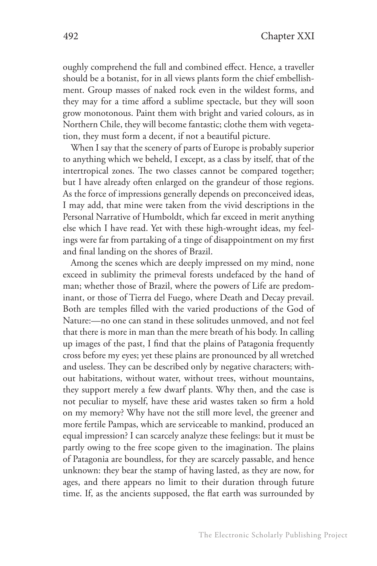oughly comprehend the full and combined effect. Hence, a traveller should be a botanist, for in all views plants form the chief embellishment. Group masses of naked rock even in the wildest forms, and they may for a time afford a sublime spectacle, but they will soon grow monotonous. Paint them with bright and varied colours, as in Northern Chile, they will become fantastic; clothe them with vegetation, they must form a decent, if not a beautiful picture.

When I say that the scenery of parts of Europe is probably superior to anything which we beheld, I except, as a class by itself, that of the intertropical zones. The two classes cannot be compared together; but I have already often enlarged on the grandeur of those regions. As the force of impressions generally depends on preconceived ideas, I may add, that mine were taken from the vivid descriptions in the Personal Narrative of Humboldt, which far exceed in merit anything else which I have read. Yet with these high-wrought ideas, my feelings were far from partaking of a tinge of disappointment on my first and final landing on the shores of Brazil.

Among the scenes which are deeply impressed on my mind, none exceed in sublimity the primeval forests undefaced by the hand of man; whether those of Brazil, where the powers of Life are predominant, or those of Tierra del Fuego, where Death and Decay prevail. Both are temples filled with the varied productions of the God of Nature:—no one can stand in these solitudes unmoved, and not feel that there is more in man than the mere breath of his body. In calling up images of the past, I find that the plains of Patagonia frequently cross before my eyes; yet these plains are pronounced by all wretched and useless. They can be described only by negative characters; without habitations, without water, without trees, without mountains, they support merely a few dwarf plants. Why then, and the case is not peculiar to myself, have these arid wastes taken so firm a hold on my memory? Why have not the still more level, the greener and more fertile Pampas, which are serviceable to mankind, produced an equal impression? I can scarcely analyze these feelings: but it must be partly owing to the free scope given to the imagination. The plains of Patagonia are boundless, for they are scarcely passable, and hence unknown: they bear the stamp of having lasted, as they are now, for ages, and there appears no limit to their duration through future time. If, as the ancients supposed, the flat earth was surrounded by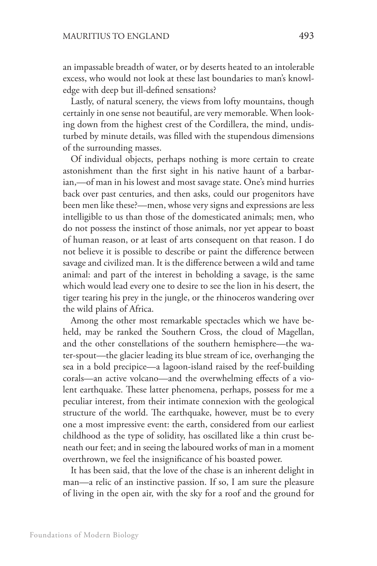an impassable breadth of water, or by deserts heated to an intolerable excess, who would not look at these last boundaries to man's knowledge with deep but ill-defined sensations?

Lastly, of natural scenery, the views from lofty mountains, though certainly in one sense not beautiful, are very memorable. When looking down from the highest crest of the Cordillera, the mind, undisturbed by minute details, was filled with the stupendous dimensions of the surrounding masses.

Of individual objects, perhaps nothing is more certain to create astonishment than the first sight in his native haunt of a barbarian,—of man in his lowest and most savage state. One's mind hurries back over past centuries, and then asks, could our progenitors have been men like these?—men, whose very signs and expressions are less intelligible to us than those of the domesticated animals; men, who do not possess the instinct of those animals, nor yet appear to boast of human reason, or at least of arts consequent on that reason. I do not believe it is possible to describe or paint the difference between savage and civilized man. It is the difference between a wild and tame animal: and part of the interest in beholding a savage, is the same which would lead every one to desire to see the lion in his desert, the tiger tearing his prey in the jungle, or the rhinoceros wandering over the wild plains of Africa.

Among the other most remarkable spectacles which we have beheld, may be ranked the Southern Cross, the cloud of Magellan, and the other constellations of the southern hemisphere—the water-spout—the glacier leading its blue stream of ice, overhanging the sea in a bold precipice—a lagoon-island raised by the reef-building corals—an active volcano—and the overwhelming effects of a violent earthquake. These latter phenomena, perhaps, possess for me a peculiar interest, from their intimate connexion with the geological structure of the world. The earthquake, however, must be to every one a most impressive event: the earth, considered from our earliest childhood as the type of solidity, has oscillated like a thin crust beneath our feet; and in seeing the laboured works of man in a moment overthrown, we feel the insignificance of his boasted power.

It has been said, that the love of the chase is an inherent delight in man—a relic of an instinctive passion. If so, I am sure the pleasure of living in the open air, with the sky for a roof and the ground for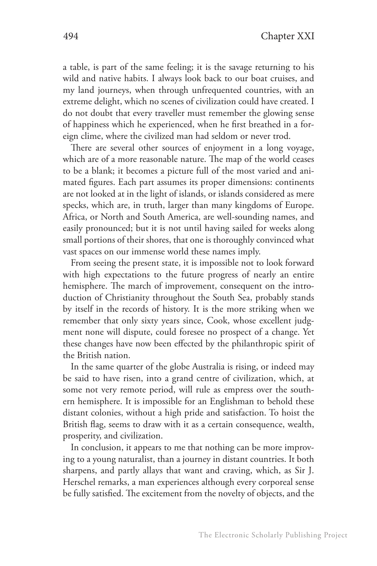a table, is part of the same feeling; it is the savage returning to his wild and native habits. I always look back to our boat cruises, and my land journeys, when through unfrequented countries, with an extreme delight, which no scenes of civilization could have created. I do not doubt that every traveller must remember the glowing sense of happiness which he experienced, when he first breathed in a foreign clime, where the civilized man had seldom or never trod.

There are several other sources of enjoyment in a long voyage, which are of a more reasonable nature. The map of the world ceases to be a blank; it becomes a picture full of the most varied and animated figures. Each part assumes its proper dimensions: continents are not looked at in the light of islands, or islands considered as mere specks, which are, in truth, larger than many kingdoms of Europe. Africa, or North and South America, are well-sounding names, and easily pronounced; but it is not until having sailed for weeks along small portions of their shores, that one is thoroughly convinced what vast spaces on our immense world these names imply.

From seeing the present state, it is impossible not to look forward with high expectations to the future progress of nearly an entire hemisphere. The march of improvement, consequent on the introduction of Christianity throughout the South Sea, probably stands by itself in the records of history. It is the more striking when we remember that only sixty years since, Cook, whose excellent judgment none will dispute, could foresee no prospect of a change. Yet these changes have now been effected by the philanthropic spirit of the British nation.

In the same quarter of the globe Australia is rising, or indeed may be said to have risen, into a grand centre of civilization, which, at some not very remote period, will rule as empress over the southern hemisphere. It is impossible for an Englishman to behold these distant colonies, without a high pride and satisfaction. To hoist the British flag, seems to draw with it as a certain consequence, wealth, prosperity, and civilization.

In conclusion, it appears to me that nothing can be more improving to a young naturalist, than a journey in distant countries. It both sharpens, and partly allays that want and craving, which, as Sir J. Herschel remarks, a man experiences although every corporeal sense be fully satisfied. The excitement from the novelty of objects, and the